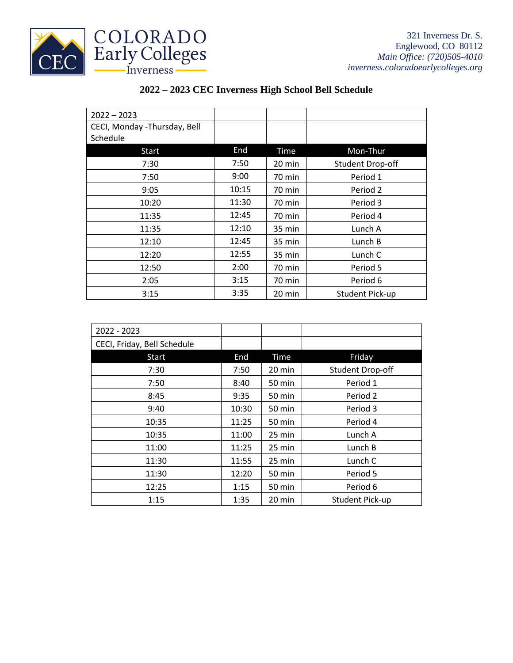

| $2022 - 2023$                            |       |             |                  |
|------------------------------------------|-------|-------------|------------------|
| CECI, Monday -Thursday, Bell<br>Schedule |       |             |                  |
| Start                                    | End   | <b>Time</b> | Mon-Thur         |
| 7:30                                     | 7:50  | 20 min      | Student Drop-off |
| 7:50                                     | 9:00  | 70 min      | Period 1         |
| 9:05                                     | 10:15 | 70 min      | Period 2         |
| 10:20                                    | 11:30 | 70 min      | Period 3         |
| 11:35                                    | 12:45 | 70 min      | Period 4         |
| 11:35                                    | 12:10 | 35 min      | Lunch A          |
| 12:10                                    | 12:45 | 35 min      | Lunch B          |
| 12:20                                    | 12:55 | 35 min      | Lunch C          |
| 12:50                                    | 2:00  | 70 min      | Period 5         |
| 2:05                                     | 3:15  | 70 min      | Period 6         |
| 3:15                                     | 3:35  | 20 min      | Student Pick-up  |

## **2022 – 2023 CEC Inverness High School Bell Schedule**

| 2022 - 2023                 |       |        |                         |
|-----------------------------|-------|--------|-------------------------|
| CECI, Friday, Bell Schedule |       |        |                         |
| Start                       | End   | Time   | Friday                  |
| 7:30                        | 7:50  | 20 min | <b>Student Drop-off</b> |
| 7:50                        | 8:40  | 50 min | Period 1                |
| 8:45                        | 9:35  | 50 min | Period 2                |
| 9:40                        | 10:30 | 50 min | Period 3                |
| 10:35                       | 11:25 | 50 min | Period 4                |
| 10:35                       | 11:00 | 25 min | Lunch A                 |
| 11:00                       | 11:25 | 25 min | Lunch B                 |
| 11:30                       | 11:55 | 25 min | Lunch C                 |
| 11:30                       | 12:20 | 50 min | Period 5                |
| 12:25                       | 1:15  | 50 min | Period 6                |
| 1:15                        | 1:35  | 20 min | Student Pick-up         |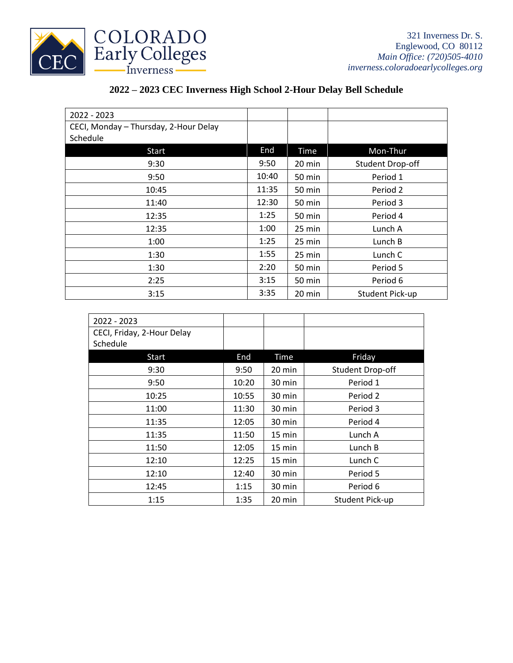

## **2022 – 2023 CEC Inverness High School 2-Hour Delay Bell Schedule**

| 2022 - 2023                           |       |        |                         |
|---------------------------------------|-------|--------|-------------------------|
| CECI, Monday - Thursday, 2-Hour Delay |       |        |                         |
| Schedule                              |       |        |                         |
| Start                                 | End   | Time   | Mon-Thur                |
| 9:30                                  | 9:50  | 20 min | <b>Student Drop-off</b> |
| 9:50                                  | 10:40 | 50 min | Period 1                |
| 10:45                                 | 11:35 | 50 min | Period 2                |
| 11:40                                 | 12:30 | 50 min | Period 3                |
| 12:35                                 | 1:25  | 50 min | Period 4                |
| 12:35                                 | 1:00  | 25 min | Lunch A                 |
| 1:00                                  | 1:25  | 25 min | Lunch B                 |
| 1:30                                  | 1:55  | 25 min | Lunch C                 |
| 1:30                                  | 2:20  | 50 min | Period 5                |
| 2:25                                  | 3:15  | 50 min | Period 6                |
| 3:15                                  | 3:35  | 20 min | <b>Student Pick-up</b>  |

| 2022 - 2023                |       |                  |                        |
|----------------------------|-------|------------------|------------------------|
| CECI, Friday, 2-Hour Delay |       |                  |                        |
| Schedule                   |       |                  |                        |
| <b>Start</b>               | End   | <b>Time</b>      | Friday                 |
| 9:30                       | 9:50  | 20 min           | Student Drop-off       |
| 9:50                       | 10:20 | 30 min           | Period 1               |
| 10:25                      | 10:55 | 30 min           | Period 2               |
| 11:00                      | 11:30 | 30 min           | Period 3               |
| 11:35                      | 12:05 | 30 min           | Period 4               |
| 11:35                      | 11:50 | 15 min           | Lunch A                |
| 11:50                      | 12:05 | $15 \text{ min}$ | Lunch B                |
| 12:10                      | 12:25 | $15 \text{ min}$ | Lunch C                |
| 12:10                      | 12:40 | 30 min           | Period 5               |
| 12:45                      | 1:15  | 30 min           | Period 6               |
| 1:15                       | 1:35  | 20 min           | <b>Student Pick-up</b> |